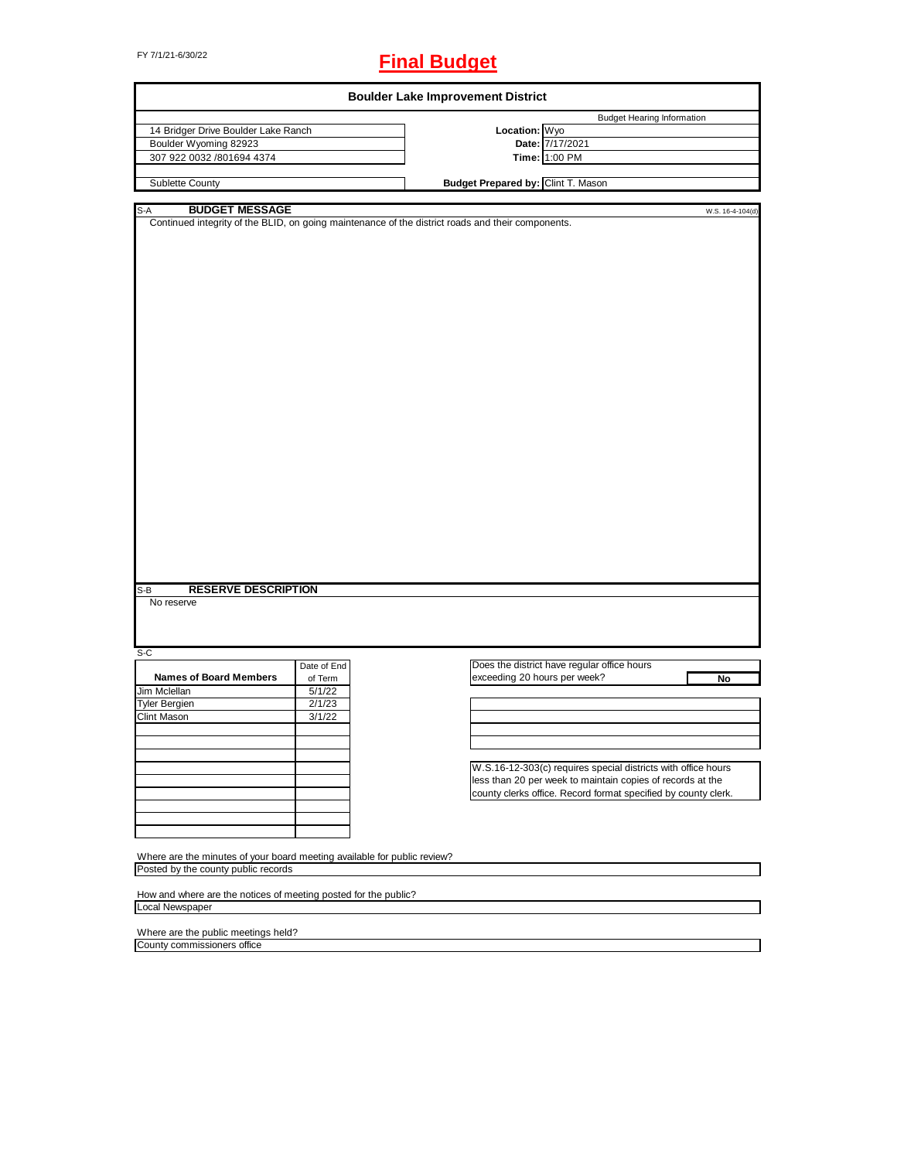# FY 7/1/21-6/30/22 **Final Budget**

|                                                                          |             | <b>Boulder Lake Improvement District</b>                                                                              |
|--------------------------------------------------------------------------|-------------|-----------------------------------------------------------------------------------------------------------------------|
|                                                                          |             | <b>Budget Hearing Information</b>                                                                                     |
| 14 Bridger Drive Boulder Lake Ranch                                      |             | Location: Wyo                                                                                                         |
| Boulder Wyoming 82923                                                    |             | Date: 7/17/2021                                                                                                       |
| 307 922 0032 /801694 4374                                                |             | Time: 1:00 PM                                                                                                         |
| Sublette County                                                          |             | Budget Prepared by: Clint T. Mason                                                                                    |
|                                                                          |             |                                                                                                                       |
| <b>BUDGET MESSAGE</b><br>S-A                                             |             | W.S. 16-4-104(d)<br>Continued integrity of the BLID, on going maintenance of the district roads and their components. |
|                                                                          |             |                                                                                                                       |
|                                                                          |             |                                                                                                                       |
|                                                                          |             |                                                                                                                       |
|                                                                          |             |                                                                                                                       |
|                                                                          |             |                                                                                                                       |
|                                                                          |             |                                                                                                                       |
|                                                                          |             |                                                                                                                       |
|                                                                          |             |                                                                                                                       |
|                                                                          |             |                                                                                                                       |
|                                                                          |             |                                                                                                                       |
|                                                                          |             |                                                                                                                       |
|                                                                          |             |                                                                                                                       |
|                                                                          |             |                                                                                                                       |
|                                                                          |             |                                                                                                                       |
|                                                                          |             |                                                                                                                       |
|                                                                          |             |                                                                                                                       |
|                                                                          |             |                                                                                                                       |
|                                                                          |             |                                                                                                                       |
|                                                                          |             |                                                                                                                       |
|                                                                          |             |                                                                                                                       |
|                                                                          |             |                                                                                                                       |
|                                                                          |             |                                                                                                                       |
|                                                                          |             |                                                                                                                       |
|                                                                          |             |                                                                                                                       |
|                                                                          |             |                                                                                                                       |
|                                                                          |             |                                                                                                                       |
|                                                                          |             |                                                                                                                       |
|                                                                          |             |                                                                                                                       |
|                                                                          |             |                                                                                                                       |
|                                                                          |             |                                                                                                                       |
| <b>RESERVE DESCRIPTION</b><br>S-B                                        |             |                                                                                                                       |
| No reserve                                                               |             |                                                                                                                       |
|                                                                          |             |                                                                                                                       |
|                                                                          |             |                                                                                                                       |
|                                                                          |             |                                                                                                                       |
| $S-C$                                                                    |             |                                                                                                                       |
|                                                                          | Date of End | Does the district have regular office hours                                                                           |
| <b>Names of Board Members</b>                                            | of Term     | exceeding 20 hours per week?<br>No                                                                                    |
| Jim Mclellan                                                             | 5/1/22      |                                                                                                                       |
| <b>Tyler Bergien</b>                                                     | 2/1/23      |                                                                                                                       |
| Clint Mason                                                              | 3/1/22      |                                                                                                                       |
|                                                                          |             |                                                                                                                       |
|                                                                          |             |                                                                                                                       |
|                                                                          |             |                                                                                                                       |
|                                                                          |             | W.S.16-12-303(c) requires special districts with office hours                                                         |
|                                                                          |             |                                                                                                                       |
|                                                                          |             | less than 20 per week to maintain copies of records at the                                                            |
|                                                                          |             | county clerks office. Record format specified by county clerk.                                                        |
|                                                                          |             |                                                                                                                       |
|                                                                          |             |                                                                                                                       |
|                                                                          |             |                                                                                                                       |
|                                                                          |             |                                                                                                                       |
| Where are the minutes of your board meeting available for public review? |             |                                                                                                                       |
| Posted by the county public records                                      |             |                                                                                                                       |
|                                                                          |             |                                                                                                                       |
| How and where are the notices of meeting posted for the public?          |             |                                                                                                                       |
| Local Newspaper                                                          |             |                                                                                                                       |
|                                                                          |             |                                                                                                                       |
| Where are the public meetings held?                                      |             |                                                                                                                       |
| County commissioners office                                              |             |                                                                                                                       |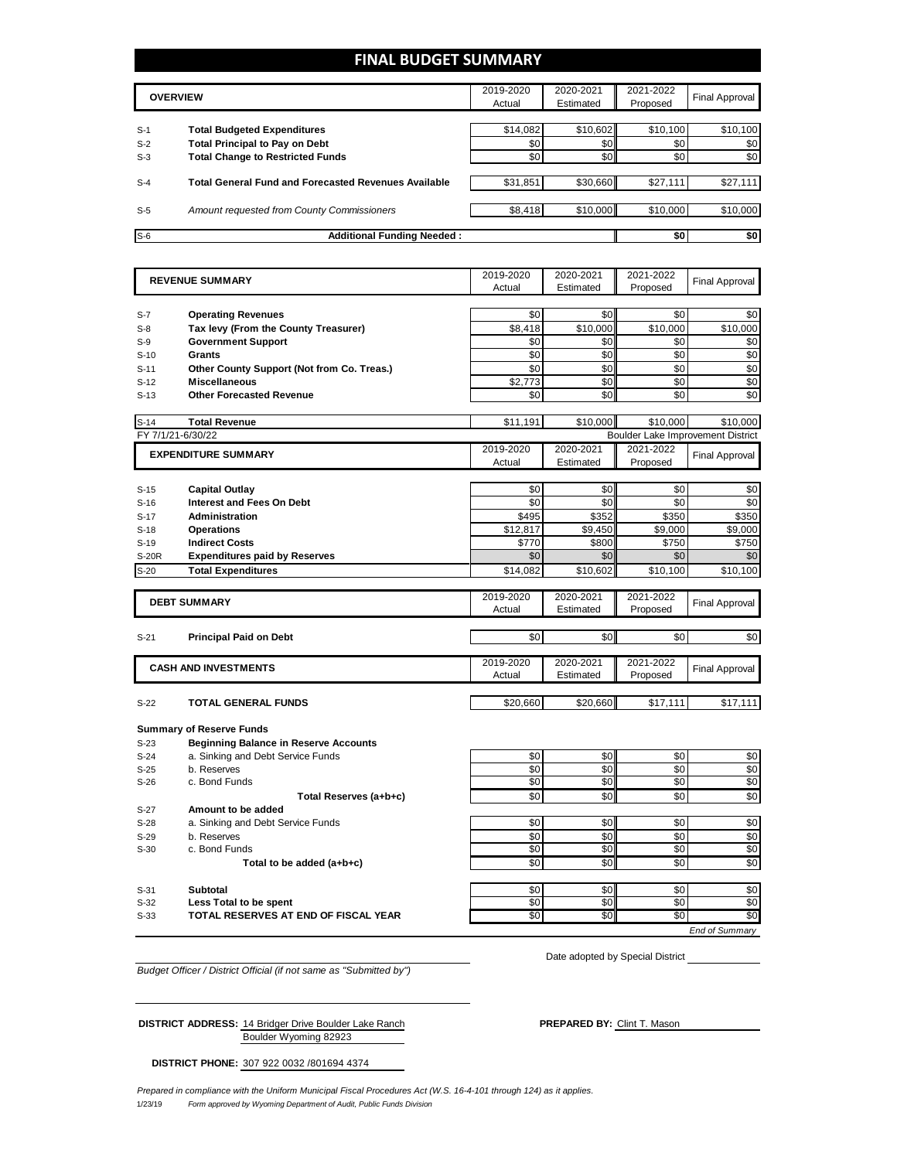### **FINAL BUDGET SUMMARY**

| <b>OVERVIEW</b> |                                                             | 2019-2020<br>Actual | 2020-2021<br>Estimated | 2021-2022<br>Proposed | <b>Final Approval</b> |
|-----------------|-------------------------------------------------------------|---------------------|------------------------|-----------------------|-----------------------|
| $S-1$           | <b>Total Budgeted Expenditures</b>                          | \$14,082            | \$10,602               | \$10,100              | \$10,100              |
| $S-2$           | <b>Total Principal to Pay on Debt</b>                       | \$0                 | \$0                    | \$0                   | \$0                   |
| $S-3$           | <b>Total Change to Restricted Funds</b>                     | \$0                 | \$0                    | \$0                   | \$0                   |
| $S-4$           | <b>Total General Fund and Forecasted Revenues Available</b> | \$31,851            | \$30,660               | \$27,111              | \$27,111              |
| $S-5$           | Amount requested from County Commissioners                  | \$8,418             | \$10,000               | \$10,000              | \$10,000              |
| $S-6$           | <b>Additional Funding Needed:</b>                           |                     |                        | \$0                   | \$0                   |

|                   | <b>REVENUE SUMMARY</b>                       | 2019-2020  | 2020-2021  | 2021-2022                         | <b>Final Approval</b>  |
|-------------------|----------------------------------------------|------------|------------|-----------------------------------|------------------------|
|                   |                                              | Actual     | Estimated  | Proposed                          |                        |
|                   |                                              |            |            |                                   |                        |
| $S-7$             | <b>Operating Revenues</b>                    | \$0        | \$0        | \$0                               | \$0                    |
| $S-8$             | Tax levy (From the County Treasurer)         | \$8.418    | \$10,000   | \$10,000                          | \$10,000               |
| $S-9$             | <b>Government Support</b>                    | \$0        | \$0        | \$0                               | \$0                    |
| $S-10$            | Grants                                       | \$0        | \$0        | \$0                               | \$0                    |
| $S-11$            | Other County Support (Not from Co. Treas.)   | \$0        | \$0        | \$0                               | \$0                    |
| $S-12$            | <b>Miscellaneous</b>                         | \$2,773    | \$0        | \$0                               | $\overline{30}$        |
| $S-13$            | <b>Other Forecasted Revenue</b>              | \$0        | \$0        | \$0                               | \$0                    |
| $S-14$            | <b>Total Revenue</b>                         | \$11,191   | \$10,000   | \$10.000                          | \$10.000               |
| FY 7/1/21-6/30/22 |                                              |            |            | Boulder Lake Improvement District |                        |
|                   |                                              | 2019-2020  | 2020-2021  | 2021-2022                         |                        |
|                   | <b>EXPENDITURE SUMMARY</b>                   | Actual     | Estimated  | Proposed                          | <b>Final Approval</b>  |
|                   |                                              |            |            |                                   |                        |
| $S-15$            | <b>Capital Outlay</b>                        | \$0        | \$0        | \$0                               | \$0                    |
| $S-16$            | <b>Interest and Fees On Debt</b>             | \$0        | \$0        | \$0                               | \$0                    |
| $S-17$            | Administration                               | \$495      | \$352      | \$350                             | \$350                  |
| $S-18$            | <b>Operations</b>                            | \$12,817   | \$9,450    | \$9,000                           | \$9,000                |
| $S-19$            | <b>Indirect Costs</b>                        | \$770      | \$800      | \$750                             | \$750                  |
| <b>S-20R</b>      | <b>Expenditures paid by Reserves</b>         | \$0        | \$0        | \$0                               | \$0                    |
| $S-20$            | <b>Total Expenditures</b>                    | \$14,082   | \$10,602   | \$10,100                          | \$10,100               |
|                   |                                              |            |            |                                   |                        |
|                   | <b>DEBT SUMMARY</b>                          | 2019-2020  | 2020-2021  | 2021-2022                         | <b>Final Approval</b>  |
|                   |                                              | Actual     | Estimated  | Proposed                          |                        |
|                   |                                              |            |            |                                   |                        |
|                   |                                              |            |            |                                   |                        |
| $S-21$            | <b>Principal Paid on Debt</b>                | \$0        | \$0        | \$0                               | \$0                    |
|                   |                                              | 2019-2020  | 2020-2021  | 2021-2022                         |                        |
|                   | <b>CASH AND INVESTMENTS</b>                  | Actual     | Estimated  | Proposed                          | <b>Final Approval</b>  |
|                   |                                              |            |            |                                   |                        |
| $S-22$            | <b>TOTAL GENERAL FUNDS</b>                   | \$20.660   | \$20.660   | \$17,111                          | \$17,111               |
|                   |                                              |            |            |                                   |                        |
|                   | <b>Summary of Reserve Funds</b>              |            |            |                                   |                        |
| $S-23$            | <b>Beginning Balance in Reserve Accounts</b> |            |            |                                   |                        |
| $S-24$            | a. Sinking and Debt Service Funds            | \$0        | \$0        | \$0                               | \$0                    |
| $S-25$            | b. Reserves                                  | \$0        | \$0        | \$0                               | \$0                    |
| $S-26$            | c. Bond Funds                                | \$0        | \$0        | \$0                               | \$0                    |
|                   | Total Reserves (a+b+c)                       | \$0        | \$0        | \$0                               | \$0                    |
| $S-27$            | Amount to be added                           |            |            |                                   |                        |
| $S-28$            | a. Sinking and Debt Service Funds            | \$0        | \$0        | \$0                               | \$0                    |
| $S-29$            | b. Reserves                                  | \$0        | \$0        | \$0                               | \$0                    |
| $S-30$            | c. Bond Funds                                | \$0        | \$0        | \$0                               | \$0                    |
|                   | Total to be added (a+b+c)                    | \$0        | \$0        | \$0                               | \$0                    |
|                   |                                              |            |            |                                   |                        |
| $S-31$<br>$S-32$  | <b>Subtotal</b><br>Less Total to be spent    | \$0<br>\$0 | \$0<br>\$0 | \$0<br>\$0                        | \$0<br>$\overline{50}$ |

*End of Summary*

*Budget Officer / District Official (if not same as "Submitted by")*

**DISTRICT ADDRESS:** 14 Bridger Drive Boulder Lake Ranch **PREPARED BY:** Clint T. Mason

Date adopted by Special District

**DISTRICT PHONE:** 307 922 0032 /801694 4374

Boulder Wyoming 82923

1/23/19 *Form approved by Wyoming Department of Audit, Public Funds Division Prepared in compliance with the Uniform Municipal Fiscal Procedures Act (W.S. 16-4-101 through 124) as it applies.*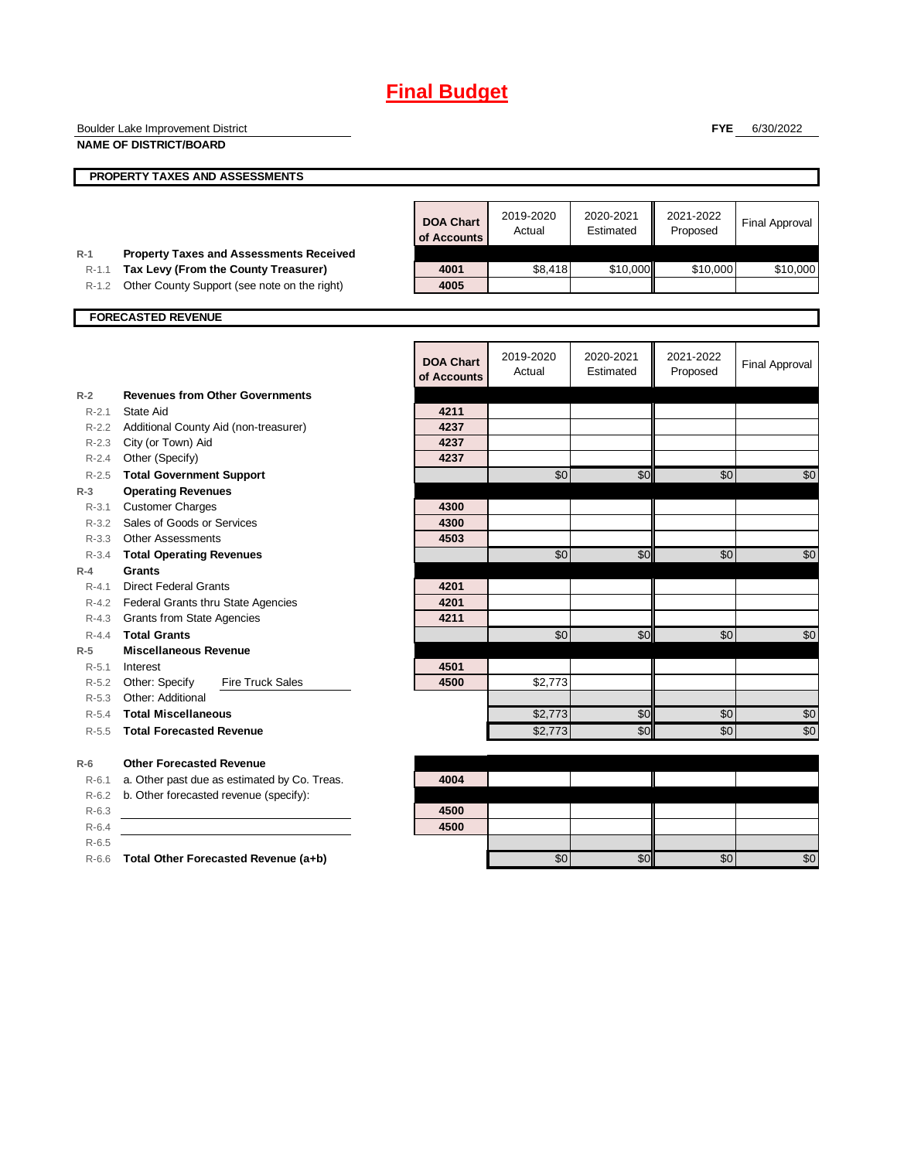|                    | Boulder Lake Improvement District                            |                                 |           |            | <b>FYE</b> | 6/30/2022             |
|--------------------|--------------------------------------------------------------|---------------------------------|-----------|------------|------------|-----------------------|
|                    | <b>NAME OF DISTRICT/BOARD</b>                                |                                 |           |            |            |                       |
|                    |                                                              |                                 |           |            |            |                       |
|                    | PROPERTY TAXES AND ASSESSMENTS                               |                                 |           |            |            |                       |
|                    |                                                              |                                 |           |            |            |                       |
|                    |                                                              | <b>DOA Chart</b>                | 2019-2020 | 2020-2021  | 2021-2022  | <b>Final Approval</b> |
|                    |                                                              | of Accounts                     | Actual    | Estimated  | Proposed   |                       |
| $R-1$              | <b>Property Taxes and Assessments Received</b>               |                                 |           |            |            |                       |
| $R-1.1$            | Tax Levy (From the County Treasurer)                         | 4001                            | \$8,418   | \$10,000   | \$10,000   | \$10,000              |
| $R-1.2$            | Other County Support (see note on the right)                 | 4005                            |           |            |            |                       |
|                    |                                                              |                                 |           |            |            |                       |
|                    | <b>FORECASTED REVENUE</b>                                    |                                 |           |            |            |                       |
|                    |                                                              |                                 |           |            |            |                       |
|                    |                                                              |                                 | 2019-2020 | 2020-2021  | 2021-2022  |                       |
|                    |                                                              | <b>DOA Chart</b><br>of Accounts | Actual    | Estimated  | Proposed   | <b>Final Approval</b> |
|                    |                                                              |                                 |           |            |            |                       |
| $R-2$              | <b>Revenues from Other Governments</b><br>State Aid          | 4211                            |           |            |            |                       |
| $R - 2.1$          |                                                              |                                 |           |            |            |                       |
|                    | R-2.2 Additional County Aid (non-treasurer)                  | 4237<br>4237                    |           |            |            |                       |
| $R - 2.3$<br>R-2.4 | City (or Town) Aid<br>Other (Specify)                        | 4237                            |           |            |            |                       |
| $R - 2.5$          |                                                              |                                 | \$0       | \$0        | \$0        | \$0                   |
| $R-3$              | <b>Total Government Support</b><br><b>Operating Revenues</b> |                                 |           |            |            |                       |
| $R - 3.1$          | <b>Customer Charges</b>                                      | 4300                            |           |            |            |                       |
|                    | R-3.2 Sales of Goods or Services                             | 4300                            |           |            |            |                       |
|                    | R-3.3 Other Assessments                                      | 4503                            |           |            |            |                       |
| $R - 3.4$          | <b>Total Operating Revenues</b>                              |                                 | \$0       | $\sqrt{6}$ | \$0        | \$0                   |
| $R - 4$            | <b>Grants</b>                                                |                                 |           |            |            |                       |
| $R - 4.1$          | <b>Direct Federal Grants</b>                                 | 4201                            |           |            |            |                       |
|                    | R-4.2 Federal Grants thru State Agencies                     | 4201                            |           |            |            |                       |
|                    | R-4.3 Grants from State Agencies                             | 4211                            |           |            |            |                       |
| $R - 4.4$          | <b>Total Grants</b>                                          |                                 | \$0       | \$0        | \$0        | \$0                   |
| $R-5$              | <b>Miscellaneous Revenue</b>                                 |                                 |           |            |            |                       |
| $R-5.1$            | Interest                                                     | 4501                            |           |            |            |                       |
| $R-5.2$            | Other: Specify<br><b>Fire Truck Sales</b>                    | 4500                            | \$2,773   |            |            |                       |
| R-5.3              | Other: Additional                                            |                                 |           |            |            |                       |
| R-5.4              | <b>Total Miscellaneous</b>                                   |                                 | \$2,773   | \$0        | \$0        | \$0                   |
| $R - 5.5$          | <b>Total Forecasted Revenue</b>                              |                                 | \$2,773   | \$0        | \$0        | \$0                   |
|                    |                                                              |                                 |           |            |            |                       |
| $R-6$              | <b>Other Forecasted Revenue</b>                              |                                 |           |            |            |                       |
| $R-6.1$            | a. Other past due as estimated by Co. Treas.                 | 4004                            |           |            |            |                       |
| $R-6.2$            | b. Other forecasted revenue (specify):                       |                                 |           |            |            |                       |
| $R-6.3$            |                                                              | 4500                            |           |            |            |                       |
| $R-6.4$            |                                                              | 4500                            |           |            |            |                       |
| $R-6.5$            |                                                              |                                 |           |            |            |                       |
| $R-6.6$            | Total Other Forecasted Revenue (a+b)                         |                                 | \$0       | \$0        | \$0        | \$0                   |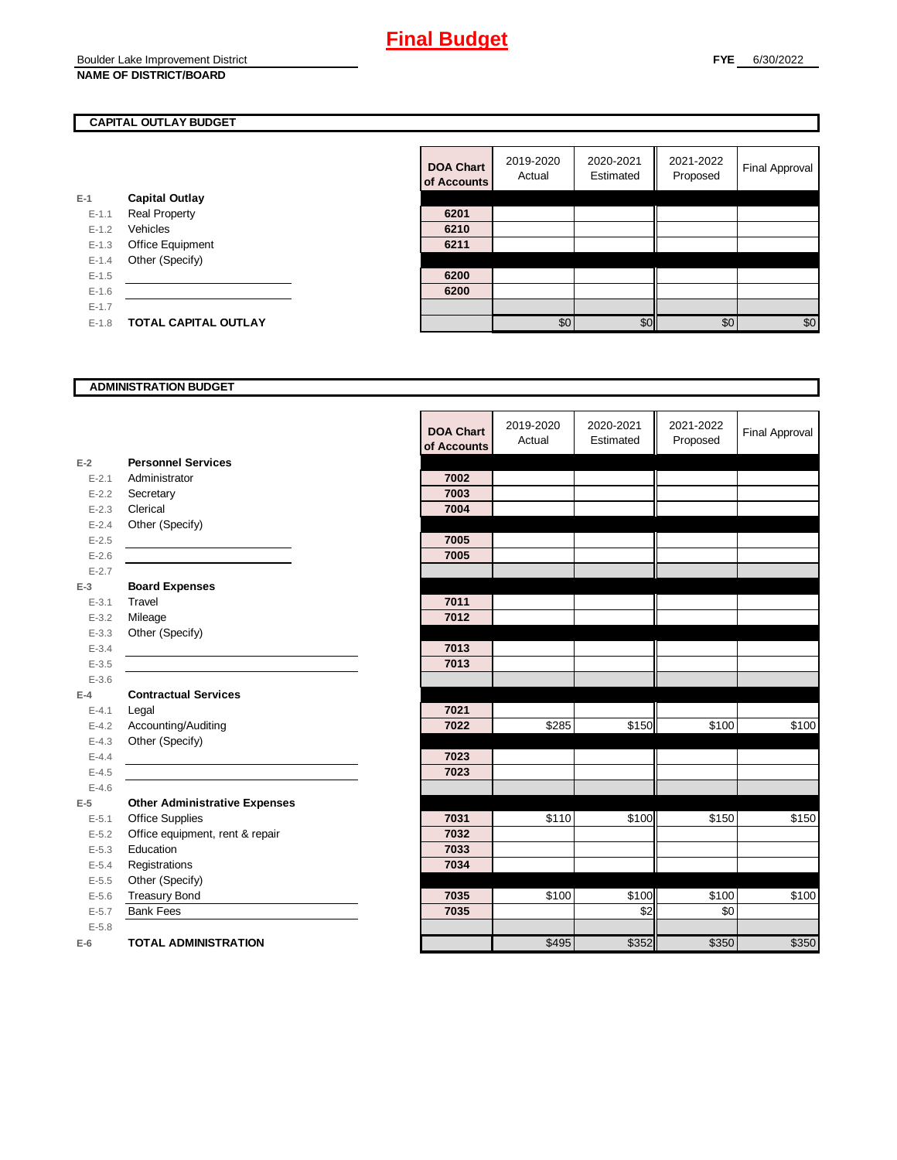### **CAPITAL OUTLAY BUDGET**

|           |                             | VI AVVV |
|-----------|-----------------------------|---------|
| E-1       | <b>Capital Outlay</b>       |         |
| $E - 1.1$ | <b>Real Property</b>        | 6201    |
| $E-1.2$   | Vehicles                    | 6210    |
| $E-1.3$   | Office Equipment            | 6211    |
| $E - 1.4$ | Other (Specify)             |         |
| $E-1.5$   |                             | 6200    |
| $E-1.6$   |                             | 6200    |
| $E-1.7$   |                             |         |
| $E-1.8$   | <b>TOTAL CAPITAL OUTLAY</b> |         |
|           |                             |         |

| <b>DOA Chart</b><br>of Accounts | 2019-2020<br>Actual | 2020-2021<br>Estimated | 2021-2022<br>Proposed | <b>Final Approval</b> |
|---------------------------------|---------------------|------------------------|-----------------------|-----------------------|
|                                 |                     |                        |                       |                       |
| 6201                            |                     |                        |                       |                       |
| 6210                            |                     |                        |                       |                       |
| 6211                            |                     |                        |                       |                       |
|                                 |                     |                        |                       |                       |
| 6200                            |                     |                        |                       |                       |
| 6200                            |                     |                        |                       |                       |
|                                 |                     |                        |                       |                       |
|                                 | \$0                 | $\Re$                  | \$0                   | \$0                   |

### **ADMINISTRATION BUDGET**

|           |                                      | <b>DOA Chart</b><br>of Accounts | 2019-2020<br>Actual | 2020-2021<br>Estimated | 2021-2022<br>Proposed | <b>Final Approval</b> |
|-----------|--------------------------------------|---------------------------------|---------------------|------------------------|-----------------------|-----------------------|
| $E-2$     | <b>Personnel Services</b>            |                                 |                     |                        |                       |                       |
| $E - 2.1$ | Administrator                        | 7002                            |                     |                        |                       |                       |
| $E - 2.2$ | Secretary                            | 7003                            |                     |                        |                       |                       |
| $E - 2.3$ | Clerical                             | 7004                            |                     |                        |                       |                       |
| $E - 2.4$ | Other (Specify)                      |                                 |                     |                        |                       |                       |
| $E-2.5$   |                                      | 7005                            |                     |                        |                       |                       |
| $E - 2.6$ |                                      | 7005                            |                     |                        |                       |                       |
| $E - 2.7$ |                                      |                                 |                     |                        |                       |                       |
| $E-3$     | <b>Board Expenses</b>                |                                 |                     |                        |                       |                       |
| $E - 3.1$ | Travel                               | 7011                            |                     |                        |                       |                       |
| $E - 3.2$ | Mileage                              | 7012                            |                     |                        |                       |                       |
| $E - 3.3$ | Other (Specify)                      |                                 |                     |                        |                       |                       |
| $E-3.4$   |                                      | 7013                            |                     |                        |                       |                       |
| $E - 3.5$ |                                      | 7013                            |                     |                        |                       |                       |
| $E - 3.6$ |                                      |                                 |                     |                        |                       |                       |
| $E-4$     | <b>Contractual Services</b>          |                                 |                     |                        |                       |                       |
| $E - 4.1$ | Legal                                | 7021                            |                     |                        |                       |                       |
| $E-4.2$   | Accounting/Auditing                  | 7022                            | \$285               | \$150                  | \$100                 | \$100                 |
| $E - 4.3$ | Other (Specify)                      |                                 |                     |                        |                       |                       |
| $E-4.4$   |                                      | 7023                            |                     |                        |                       |                       |
| $E - 4.5$ |                                      | 7023                            |                     |                        |                       |                       |
| $E-4.6$   |                                      |                                 |                     |                        |                       |                       |
| $E-5$     | <b>Other Administrative Expenses</b> |                                 |                     |                        |                       |                       |
| $E - 5.1$ | <b>Office Supplies</b>               | 7031                            | \$110               | \$100                  | \$150                 | \$150                 |
| $E-5.2$   | Office equipment, rent & repair      | 7032                            |                     |                        |                       |                       |
| $E - 5.3$ | Education                            | 7033                            |                     |                        |                       |                       |
| $E - 5.4$ | Registrations                        | 7034                            |                     |                        |                       |                       |
| $E - 5.5$ | Other (Specify)                      |                                 |                     |                        |                       |                       |
| $E - 5.6$ | <b>Treasury Bond</b>                 | 7035                            | \$100               | \$100                  | \$100                 | \$100                 |
| $E - 5.7$ | <b>Bank Fees</b>                     | 7035                            |                     | $\frac{6}{2}$          | \$0                   |                       |
| $E - 5.8$ |                                      |                                 |                     |                        |                       |                       |
| $E-6$     | <b>TOTAL ADMINISTRATION</b>          |                                 | \$495               | \$352                  | \$350                 | \$350                 |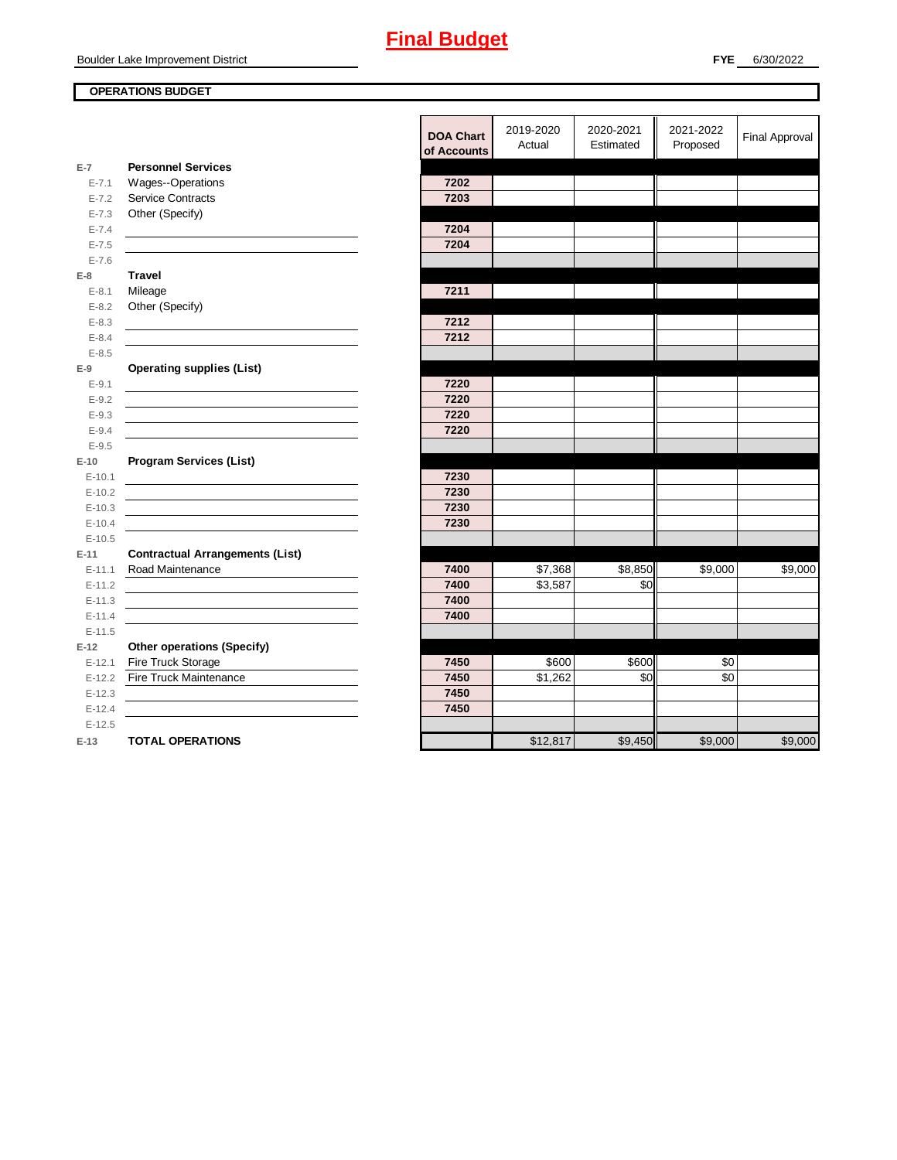### **OPERATIONS BUDGET**

|            |                                                                                                                        | <b>DOA Chart</b> | 2019-2020 | 2020-2021 | 2021-2022       | <b>Final Approval</b> |
|------------|------------------------------------------------------------------------------------------------------------------------|------------------|-----------|-----------|-----------------|-----------------------|
|            |                                                                                                                        | of Accounts      | Actual    | Estimated | Proposed        |                       |
| $E-7$      | <b>Personnel Services</b>                                                                                              |                  |           |           |                 |                       |
| $E - 7.1$  | Wages--Operations                                                                                                      | 7202             |           |           |                 |                       |
| $E - 7.2$  | <b>Service Contracts</b>                                                                                               | 7203             |           |           |                 |                       |
| $E - 7.3$  | Other (Specify)                                                                                                        |                  |           |           |                 |                       |
| $E - 7.4$  |                                                                                                                        | 7204             |           |           |                 |                       |
| $E - 7.5$  |                                                                                                                        | 7204             |           |           |                 |                       |
| $E - 7.6$  |                                                                                                                        |                  |           |           |                 |                       |
| $E-8$      | <b>Travel</b>                                                                                                          |                  |           |           |                 |                       |
| $E-8.1$    | Mileage                                                                                                                | 7211             |           |           |                 |                       |
| $E - 8.2$  | Other (Specify)                                                                                                        |                  |           |           |                 |                       |
| $E - 8.3$  |                                                                                                                        | 7212             |           |           |                 |                       |
| $E - 8.4$  |                                                                                                                        | 7212             |           |           |                 |                       |
| $E - 8.5$  |                                                                                                                        |                  |           |           |                 |                       |
| $E-9$      | <b>Operating supplies (List)</b>                                                                                       |                  |           |           |                 |                       |
| $E - 9.1$  |                                                                                                                        | 7220             |           |           |                 |                       |
| $E-9.2$    |                                                                                                                        | 7220             |           |           |                 |                       |
| $E - 9.3$  |                                                                                                                        | 7220             |           |           |                 |                       |
| $E-9.4$    |                                                                                                                        | 7220             |           |           |                 |                       |
| $E - 9.5$  |                                                                                                                        |                  |           |           |                 |                       |
| $E-10$     | <b>Program Services (List)</b>                                                                                         |                  |           |           |                 |                       |
| $E - 10.1$ | the control of the control of the control of the control of the control of the control of                              | 7230             |           |           |                 |                       |
| $E-10.2$   |                                                                                                                        | 7230             |           |           |                 |                       |
| $E-10.3$   |                                                                                                                        | 7230             |           |           |                 |                       |
| $E-10.4$   |                                                                                                                        | 7230             |           |           |                 |                       |
| $E-10.5$   |                                                                                                                        |                  |           |           |                 |                       |
| $E-11$     | <b>Contractual Arrangements (List)</b>                                                                                 |                  |           |           |                 |                       |
| $E - 11.1$ | Road Maintenance                                                                                                       | 7400             | \$7,368   | \$8,850   | \$9,000         | \$9,000               |
| $E-11.2$   | <u> 1989 - Johann Stoff, deutscher Stoffen und der Stoffen und der Stoffen und der Stoffen und der Stoffen und der</u> | 7400             | \$3,587   | \$0       |                 |                       |
| $E - 11.3$ |                                                                                                                        | 7400             |           |           |                 |                       |
| $E - 11.4$ |                                                                                                                        | 7400             |           |           |                 |                       |
| $E-11.5$   |                                                                                                                        |                  |           |           |                 |                       |
| $E-12$     | <b>Other operations (Specify)</b>                                                                                      |                  |           |           |                 |                       |
| $E-12.1$   | Fire Truck Storage                                                                                                     | 7450             | \$600     | \$600     | \$0             |                       |
| $E-12.2$   | Fire Truck Maintenance                                                                                                 | 7450             | \$1,262   | \$0       | $\overline{30}$ |                       |
| $E-12.3$   |                                                                                                                        | 7450             |           |           |                 |                       |
| $E-12.4$   |                                                                                                                        | 7450             |           |           |                 |                       |
| $E-12.5$   |                                                                                                                        |                  |           |           |                 |                       |
| $E-13$     | <b>TOTAL OPERATIONS</b>                                                                                                |                  | \$12,817  | \$9,450   | \$9,000         | \$9,000               |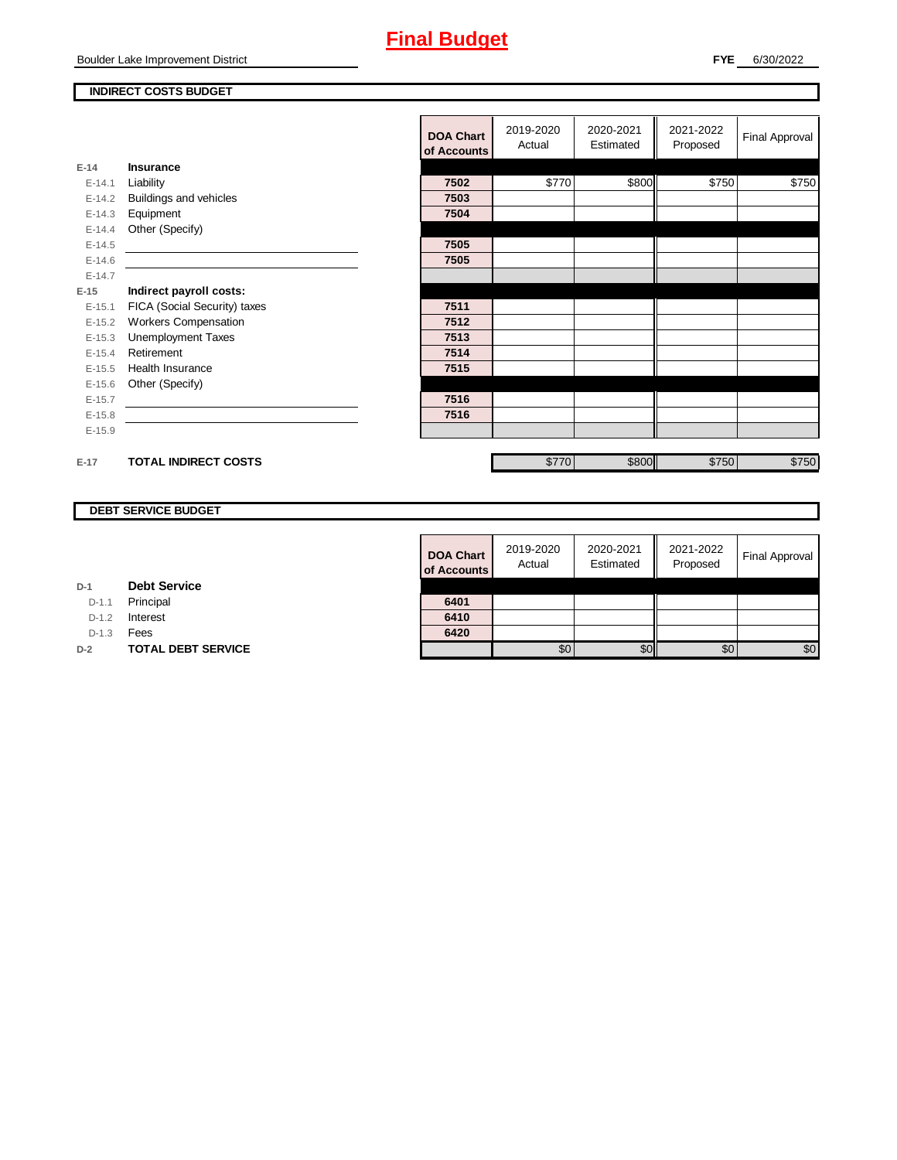### **INDIRECT COSTS BUDGET**

|          |                                                                                                                      | <b>DOA Chart</b><br>of Accounts | 2019-2020<br>Actual | 2020-2021<br>Estimated | 2021-2022<br>Proposed | Final Approval |
|----------|----------------------------------------------------------------------------------------------------------------------|---------------------------------|---------------------|------------------------|-----------------------|----------------|
| $E-14$   | <b>Insurance</b>                                                                                                     |                                 |                     |                        |                       |                |
| $E-14.1$ | Liability                                                                                                            | 7502                            | \$770               | \$800                  | \$750                 | \$750          |
| $E-14.2$ | Buildings and vehicles                                                                                               | 7503                            |                     |                        |                       |                |
| $E-14.3$ | Equipment                                                                                                            | 7504                            |                     |                        |                       |                |
| $E-14.4$ | Other (Specify)                                                                                                      |                                 |                     |                        |                       |                |
| $E-14.5$ | <u> 1980 - Jan Samuel Barbara, martin da shekarar 1980 - 1981 - 1982 - 1982 - 1982 - 1982 - 1983 - 1984 - 1986 -</u> | 7505                            |                     |                        |                       |                |
| $E-14.6$ |                                                                                                                      | 7505                            |                     |                        |                       |                |
| $E-14.7$ |                                                                                                                      |                                 |                     |                        |                       |                |
| $E-15$   | Indirect payroll costs:                                                                                              |                                 |                     |                        |                       |                |
| $E-15.1$ | FICA (Social Security) taxes                                                                                         | 7511                            |                     |                        |                       |                |
| $E-15.2$ | <b>Workers Compensation</b>                                                                                          | 7512                            |                     |                        |                       |                |
| $E-15.3$ | <b>Unemployment Taxes</b>                                                                                            | 7513                            |                     |                        |                       |                |
| $E-15.4$ | Retirement                                                                                                           | 7514                            |                     |                        |                       |                |
| $E-15.5$ | Health Insurance                                                                                                     | 7515                            |                     |                        |                       |                |
| $E-15.6$ | Other (Specify)                                                                                                      |                                 |                     |                        |                       |                |
| $E-15.7$ |                                                                                                                      | 7516                            |                     |                        |                       |                |
| $E-15.8$ |                                                                                                                      | 7516                            |                     |                        |                       |                |
| $E-15.9$ |                                                                                                                      |                                 |                     |                        |                       |                |
|          |                                                                                                                      |                                 |                     |                        |                       |                |
| $E-17$   | <b>TOTAL INDIRECT COSTS</b>                                                                                          |                                 | \$770               | \$800                  | \$750                 | \$750          |

### **DEBT SERVICE BUDGET**

**Debt Service**

**D-2 TOTAL DEBT SERVICE** 

**D-1**

D-1.1 **Principal** D-1.2 **Interest** D-1.3 **Fees** 

| <b>DOA Chart</b><br>of Accounts | 2019-2020<br>Actual | 2020-2021<br>Estimated | 2021-2022<br>Proposed | <b>Final Approval</b> |
|---------------------------------|---------------------|------------------------|-----------------------|-----------------------|
|                                 |                     |                        |                       |                       |
| 6401                            |                     |                        |                       |                       |
| 6410                            |                     |                        |                       |                       |
| 6420                            |                     |                        |                       |                       |
|                                 |                     |                        | ፍር                    | \$0                   |